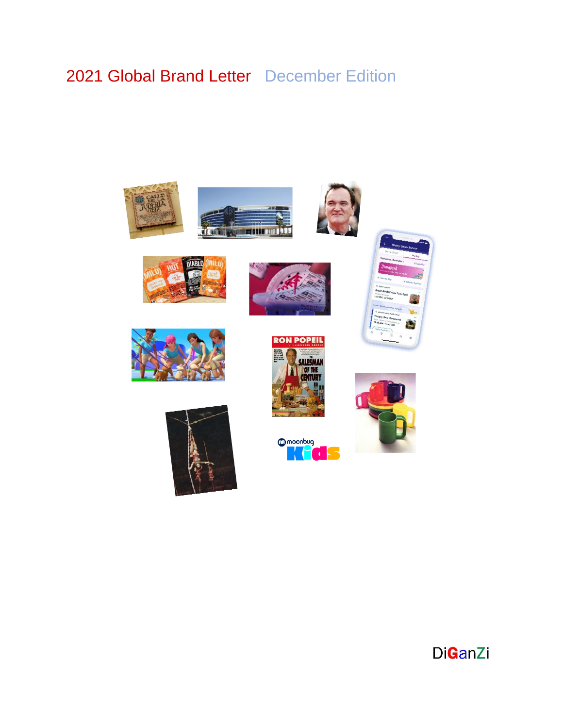# 2021 Global Brand Letter December Edition

















**M** moonbug









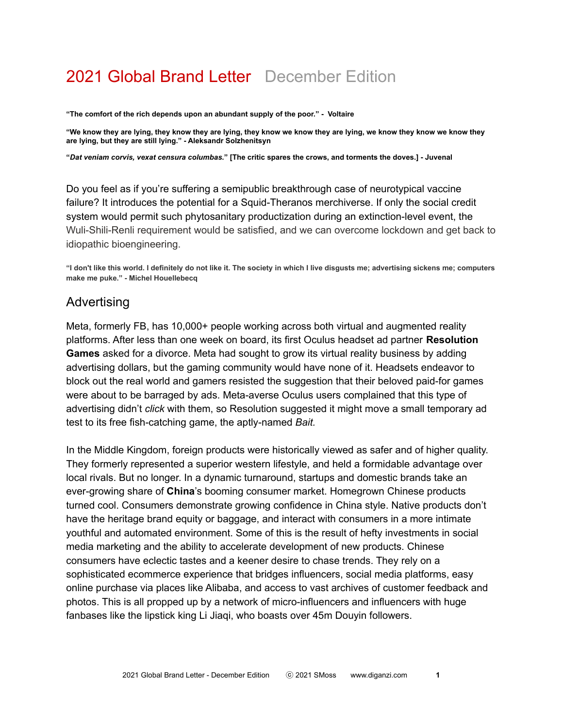# 2021 Global Brand Letter December Edition

**"The comfort of the rich depends upon an abundant supply of the poor." - Voltaire**

"We know they are lying, they know they are lying, they know we know they are lying, we know they know we know they **are lying, but they are still lying." - Aleksandr Solzhenitsyn**

"Dat veniam corvis, vexat censura columbas." [The critic spares the crows, and torments the doves.] - Juvenal

Do you feel as if you're suffering a semipublic breakthrough case of neurotypical vaccine failure? It introduces the potential for a Squid-Theranos merchiverse. If only the social credit system would permit such phytosanitary productization during an extinction-level event, the Wuli-Shili-Renli requirement would be satisfied, and we can overcome lockdown and get back to idiopathic bioengineering.

"I don't like this world. I definitely do not like it. The society in which I live disgusts me; advertising sickens me; computers **make me puke." - Michel Houellebecq**

# Advertising

Meta, formerly FB, has 10,000+ people working across both virtual and augmented reality platforms. After less than one week on board, its first Oculus headset ad partner **Resolution Games** asked for a divorce. Meta had sought to grow its virtual reality business by adding advertising dollars, but the gaming community would have none of it. Headsets endeavor to block out the real world and gamers resisted the suggestion that their beloved paid-for games were about to be barraged by ads. Meta-averse Oculus users complained that this type of advertising didn't *click* with them, so Resolution suggested it might move a small temporary ad test to its free fish-catching game, the aptly-named *Bait.*

In the Middle Kingdom, foreign products were historically viewed as safer and of higher quality. They formerly represented a superior western lifestyle, and held a formidable advantage over local rivals. But no longer. In a dynamic turnaround, startups and domestic brands take an ever-growing share of **China**'s booming consumer market. Homegrown Chinese products turned cool. Consumers demonstrate growing confidence in China style. Native products don't have the heritage brand equity or baggage, and interact with consumers in a more intimate youthful and automated environment. Some of this is the result of hefty investments in social media marketing and the ability to accelerate development of new products. Chinese consumers have eclectic tastes and a keener desire to chase trends. They rely on a sophisticated ecommerce experience that bridges influencers, social media platforms, easy online purchase via places like Alibaba, and access to vast archives of customer feedback and photos. This is all propped up by a network of micro-influencers and influencers with huge fanbases like the lipstick king Li Jiaqi, who boasts over 45m Douyin followers.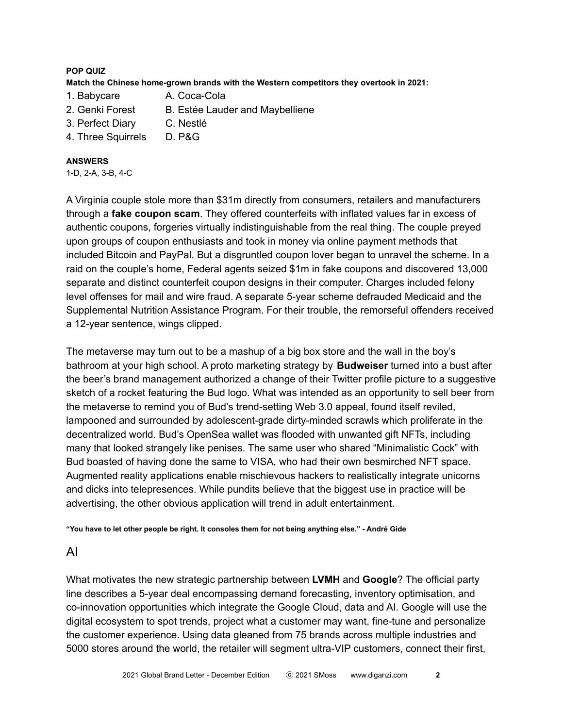#### **POP QUIZ**

**Match the Chinese home-grown brands with the Western competitors they overtook in 2021:**

- 1. Babycare A. Coca-Cola
- 2. Genki Forest B. Estée Lauder and Maybelliene
- 3. Perfect Diary C. Nestlé
- 4. Three Squirrels D. P&G

#### **ANSWERS**

1-D, 2-A, 3-B, 4-C

A Virginia couple stole more than \$31m directly from consumers, retailers and manufacturers through a **fake coupon scam**. They offered counterfeits with inflated values far in excess of authentic coupons, forgeries virtually indistinguishable from the real thing. The couple preyed upon groups of coupon enthusiasts and took in money via online payment methods that included Bitcoin and PayPal. But a disgruntled coupon lover began to unravel the scheme. In a raid on the couple's home, Federal agents seized \$1m in fake coupons and discovered 13,000 separate and distinct counterfeit coupon designs in their computer. Charges included felony level offenses for mail and wire fraud. A separate 5-year scheme defrauded Medicaid and the Supplemental Nutrition Assistance Program. For their trouble, the remorseful offenders received a 12-year sentence, wings clipped.

The metaverse may turn out to be a mashup of a big box store and the wall in the boy's bathroom at your high school. A proto marketing strategy by **Budweiser** turned into a bust after the beer's brand management authorized a change of their Twitter profile picture to a suggestive sketch of a rocket featuring the Bud logo. What was intended as an opportunity to sell beer from the metaverse to remind you of Bud's trend-setting Web 3.0 appeal, found itself reviled, lampooned and surrounded by adolescent-grade dirty-minded scrawls which proliferate in the decentralized world. Bud's OpenSea wallet was flooded with unwanted gift NFTs, including many that looked strangely like penises. The same user who shared "Minimalistic Cock" with Bud boasted of having done the same to VISA, who had their own besmirched NFT space. Augmented reality applications enable mischievous hackers to realistically integrate unicorns and dicks into telepresences. While pundits believe that the biggest use in practice will be advertising, the other obvious application will trend in adult entertainment.

"You have to let other people be right. It consoles them for not being anything else." - André Gide

## AI

What motivates the new strategic partnership between **LVMH** and **Google**? The official party line describes a 5-year deal encompassing demand forecasting, inventory optimisation, and co-innovation opportunities which integrate the Google Cloud, data and AI. Google will use the digital ecosystem to spot trends, project what a customer may want, fine-tune and personalize the customer experience. Using data gleaned from 75 brands across multiple industries and 5000 stores around the world, the retailer will segment ultra-VIP customers, connect their first,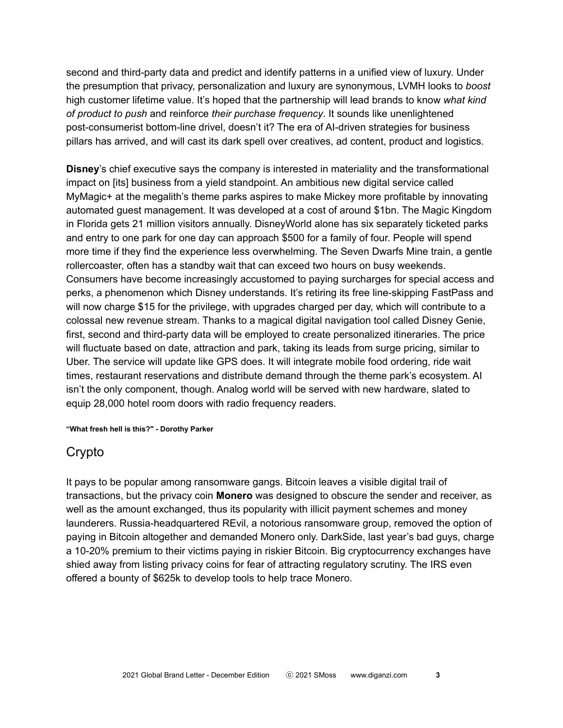second and third-party data and predict and identify patterns in a unified view of luxury. Under the presumption that privacy, personalization and luxury are synonymous, LVMH looks to *boost* high customer lifetime value. It's hoped that the partnership will lead brands to know *what kind of product to push* and reinforce *their purchase frequency*. It sounds like unenlightened post-consumerist bottom-line drivel, doesn't it? The era of AI-driven strategies for business pillars has arrived, and will cast its dark spell over creatives, ad content, product and logistics.

**Disney**'s chief executive says the company is interested in materiality and the transformational impact on [its] business from a yield standpoint. An ambitious new digital service called MyMagic+ at the megalith's theme parks aspires to make Mickey more profitable by innovating automated guest management. It was developed at a cost of around \$1bn. The Magic Kingdom in Florida gets 21 million visitors annually. DisneyWorld alone has six separately ticketed parks and entry to one park for one day can approach \$500 for a family of four. People will spend more time if they find the experience less overwhelming. The Seven Dwarfs Mine train, a gentle rollercoaster, often has a standby wait that can exceed two hours on busy weekends. Consumers have become increasingly accustomed to paying surcharges for special access and perks, a phenomenon which Disney understands. It's retiring its free line-skipping FastPass and will now charge \$15 for the privilege, with upgrades charged per day, which will contribute to a colossal new revenue stream. Thanks to a magical digital navigation tool called Disney Genie, first, second and third-party data will be employed to create personalized itineraries. The price will fluctuate based on date, attraction and park, taking its leads from surge pricing, similar to Uber. The service will update like GPS does. It will integrate mobile food ordering, ride wait times, restaurant reservations and distribute demand through the theme park's ecosystem. AI isn't the only component, though. Analog world will be served with new hardware, slated to equip 28,000 hotel room doors with radio frequency readers.

**"What fresh hell is this?" - Dorothy Parker**

# Crypto

It pays to be popular among ransomware gangs. Bitcoin leaves a visible digital trail of transactions, but the privacy coin **Monero** was designed to obscure the sender and receiver, as well as the amount exchanged, thus its popularity with illicit payment schemes and money launderers. Russia-headquartered REvil, a notorious ransomware group, removed the option of paying in Bitcoin altogether and demanded Monero only. DarkSide, last year's bad guys, charge a 10-20% premium to their victims paying in riskier Bitcoin. Big cryptocurrency exchanges have shied away from listing privacy coins for fear of attracting regulatory scrutiny. The IRS even offered a bounty of \$625k to develop tools to help trace Monero.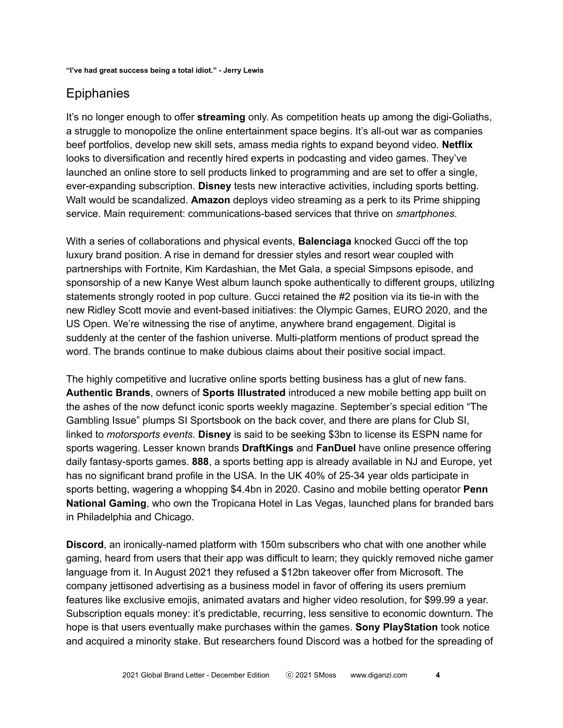# **Epiphanies**

It's no longer enough to offer **streaming** only. As competition heats up among the digi-Goliaths, a struggle to monopolize the online entertainment space begins. It's all-out war as companies beef portfolios, develop new skill sets, amass media rights to expand beyond video. **Netflix** looks to diversification and recently hired experts in podcasting and video games. They've launched an online store to sell products linked to programming and are set to offer a single, ever-expanding subscription. **Disney** tests new interactive activities, including sports betting. Walt would be scandalized. **Amazon** deploys video streaming as a perk to its Prime shipping service. Main requirement: communications-based services that thrive on *smartphones*.

With a series of collaborations and physical events, **Balenciaga** knocked Gucci off the top luxury brand position. A rise in demand for dressier styles and resort wear coupled with partnerships with Fortnite, Kim Kardashian, the Met Gala, a special Simpsons episode, and sponsorship of a new Kanye West album launch spoke authentically to different groups, utilizing statements strongly rooted in pop culture. Gucci retained the #2 position via its tie-in with the new Ridley Scott movie and event-based initiatives: the Olympic Games, EURO 2020, and the US Open. We're witnessing the rise of anytime, anywhere brand engagement. Digital is suddenly at the center of the fashion universe. Multi-platform mentions of product spread the word. The brands continue to make dubious claims about their positive social impact.

The highly competitive and lucrative online sports betting business has a glut of new fans. **Authentic Brands**, owners of **Sports Illustrated** introduced a new mobile betting app built on the ashes of the now defunct iconic sports weekly magazine. September's special edition "The Gambling Issue" plumps SI Sportsbook on the back cover, and there are plans for Club SI, linked to *motorsports events*. **Disney** is said to be seeking \$3bn to license its ESPN name for sports wagering. Lesser known brands **DraftKings** and **FanDuel** have online presence offering daily fantasy-sports games. **888**, a sports betting app is already available in NJ and Europe, yet has no significant brand profile in the USA. In the UK 40% of 25-34 year olds participate in sports betting, wagering a whopping \$4.4bn in 2020. Casino and mobile betting operator **Penn National Gaming**, who own the Tropicana Hotel in Las Vegas, launched plans for branded bars in Philadelphia and Chicago.

**Discord**, an ironically-named platform with 150m subscribers who chat with one another while gaming, heard from users that their app was difficult to learn; they quickly removed niche gamer language from it. In August 2021 they refused a \$12bn takeover offer from Microsoft. The company jettisoned advertising as a business model in favor of offering its users premium features like exclusive emojis, animated avatars and higher video resolution, for \$99.99 a year. Subscription equals money: it's predictable, recurring, less sensitive to economic downturn. The hope is that users eventually make purchases within the games. **Sony PlayStation** took notice and acquired a minority stake. But researchers found Discord was a hotbed for the spreading of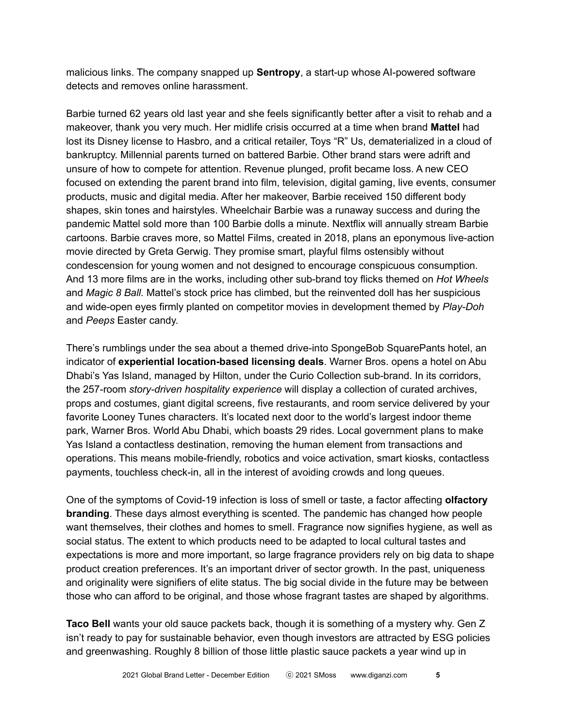malicious links. The company snapped up **Sentropy**, a start-up whose AI-powered software detects and removes online harassment.

Barbie turned 62 years old last year and she feels significantly better after a visit to rehab and a makeover, thank you very much. Her midlife crisis occurred at a time when brand **Mattel** had lost its Disney license to Hasbro, and a critical retailer, Toys "R" Us, dematerialized in a cloud of bankruptcy. Millennial parents turned on battered Barbie. Other brand stars were adrift and unsure of how to compete for attention. Revenue plunged, profit became loss. A new CEO focused on extending the parent brand into film, television, digital gaming, live events, consumer products, music and digital media. After her makeover, Barbie received 150 different body shapes, skin tones and hairstyles. Wheelchair Barbie was a runaway success and during the pandemic Mattel sold more than 100 Barbie dolls a minute. Nextflix will annually stream Barbie cartoons. Barbie craves more, so Mattel Films, created in 2018, plans an eponymous live-action movie directed by Greta Gerwig. They promise smart, playful films ostensibly without condescension for young women and not designed to encourage conspicuous consumption. And 13 more films are in the works, including other sub-brand toy flicks themed on *Hot Wheels* and *Magic 8 Ball.* Mattel's stock price has climbed, but the reinvented doll has her suspicious and wide-open eyes firmly planted on competitor movies in development themed by *Play-Doh* and *Peeps* Easter candy.

There's rumblings under the sea about a themed drive-into SpongeBob SquarePants hotel, an indicator of **experiential location-based licensing deals**. Warner Bros. opens a hotel on Abu Dhabi's Yas Island, managed by Hilton, under the Curio Collection sub-brand. In its corridors, the 257-room *story-driven hospitality experience* will display a collection of curated archives, props and costumes, giant digital screens, five restaurants, and room service delivered by your favorite Looney Tunes characters. It's located next door to the world's largest indoor theme park, Warner Bros. World Abu Dhabi, which boasts 29 rides. Local government plans to make Yas Island a contactless destination, removing the human element from transactions and operations. This means mobile-friendly, robotics and voice activation, smart kiosks, contactless payments, touchless check-in, all in the interest of avoiding crowds and long queues.

One of the symptoms of Covid-19 infection is loss of smell or taste, a factor affecting **olfactory branding**. These days almost everything is scented. The pandemic has changed how people want themselves, their clothes and homes to smell. Fragrance now signifies hygiene, as well as social status. The extent to which products need to be adapted to local cultural tastes and expectations is more and more important, so large fragrance providers rely on big data to shape product creation preferences. It's an important driver of sector growth. In the past, uniqueness and originality were signifiers of elite status. The big social divide in the future may be between those who can afford to be original, and those whose fragrant tastes are shaped by algorithms.

**Taco Bell** wants your old sauce packets back, though it is something of a mystery why. Gen Z isn't ready to pay for sustainable behavior, even though investors are attracted by ESG policies and greenwashing. Roughly 8 billion of those little plastic sauce packets a year wind up in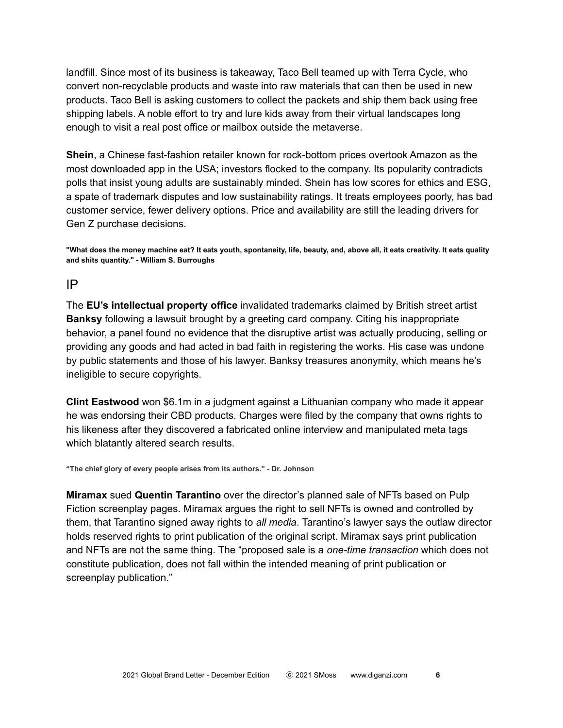landfill. Since most of its business is takeaway, Taco Bell teamed up with Terra Cycle, who convert non-recyclable products and waste into raw materials that can then be used in new products. Taco Bell is asking customers to collect the packets and ship them back using free shipping labels. A noble effort to try and lure kids away from their virtual landscapes long enough to visit a real post office or mailbox outside the metaverse.

**Shein**, a Chinese fast-fashion retailer known for rock-bottom prices overtook Amazon as the most downloaded app in the USA; investors flocked to the company. Its popularity contradicts polls that insist young adults are sustainably minded. Shein has low scores for ethics and ESG, a spate of trademark disputes and low sustainability ratings. It treats employees poorly, has bad customer service, fewer delivery options. Price and availability are still the leading drivers for Gen Z purchase decisions.

"What does the money machine eat? It eats youth, spontaneity, life, beauty, and, above all, it eats creativity. It eats quality **and shits quantity." - William S. Burroughs**

## IP

The **EU's intellectual property office** invalidated trademarks claimed by British street artist **Banksy** following a lawsuit brought by a greeting card company. Citing his inappropriate behavior, a panel found no evidence that the disruptive artist was actually producing, selling or providing any goods and had acted in bad faith in registering the works. His case was undone by public statements and those of his lawyer. Banksy treasures anonymity, which means he's ineligible to secure copyrights.

**Clint Eastwood** won \$6.1m in a judgment against a Lithuanian company who made it appear he was endorsing their CBD products. Charges were filed by the company that owns rights to his likeness after they discovered a fabricated online interview and manipulated meta tags which blatantly altered search results.

**"The chief glory of every people arises from its authors." - Dr. Johnson**

**Miramax** sued **Quentin Tarantino** over the director's planned sale of NFTs based on Pulp Fiction screenplay pages. Miramax argues the right to sell NFTs is owned and controlled by them, that Tarantino signed away rights to *all media*. Tarantino's lawyer says the outlaw director holds reserved rights to print publication of the original script. Miramax says print publication and NFTs are not the same thing. The "proposed sale is a *one-time transaction* which does not constitute publication, does not fall within the intended meaning of print publication or screenplay publication."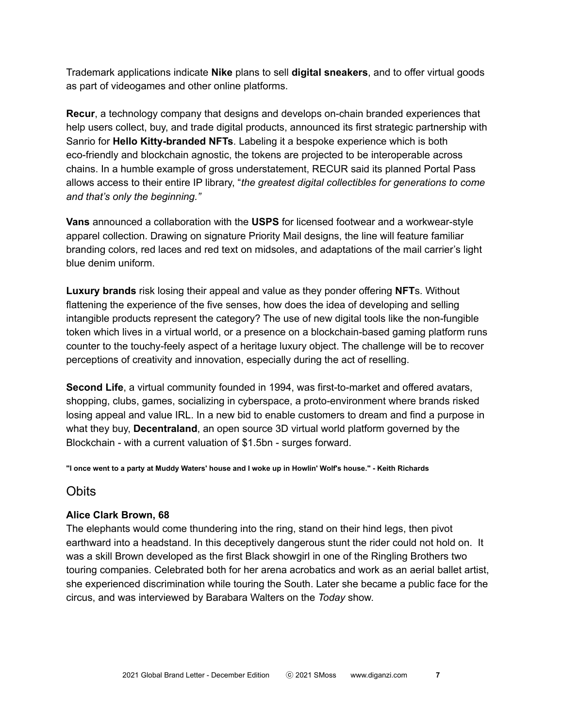Trademark applications indicate **Nike** plans to sell **digital sneakers**, and to offer virtual goods as part of videogames and other online platforms.

**Recur**, a technology company that designs and develops on-chain branded experiences that help users collect, buy, and trade digital products, announced its first strategic partnership with Sanrio for **Hello Kitty-branded NFTs**. Labeling it a bespoke experience which is both eco-friendly and blockchain agnostic, the tokens are projected to be interoperable across chains. In a humble example of gross understatement, RECUR said its planned Portal Pass allows access to their entire IP library, "*the greatest digital collectibles for generations to come and that's only the beginning."*

**Vans** announced a collaboration with the **USPS** for licensed footwear and a workwear-style apparel collection. Drawing on signature Priority Mail designs, the line will feature familiar branding colors, red laces and red text on midsoles, and adaptations of the mail carrier's light blue denim uniform.

**Luxury brands** risk losing their appeal and value as they ponder offering **NFT**s. Without flattening the experience of the five senses, how does the idea of developing and selling intangible products represent the category? The use of new digital tools like the non-fungible token which lives in a virtual world, or a presence on a blockchain-based gaming platform runs counter to the touchy-feely aspect of a heritage luxury object. The challenge will be to recover perceptions of creativity and innovation, especially during the act of reselling.

**Second Life**, a virtual community founded in 1994, was first-to-market and offered avatars, shopping, clubs, games, socializing in cyberspace, a proto-environment where brands risked losing appeal and value IRL. In a new bid to enable customers to dream and find a purpose in what they buy, **Decentraland**, an open source 3D virtual world platform governed by the Blockchain - with a current valuation of \$1.5bn - surges forward.

"I once went to a party at Muddy Waters' house and I woke up in Howlin' Wolf's house." - Keith Richards

## **Obits**

## **Alice Clark Brown, 68**

The elephants would come thundering into the ring, stand on their hind legs, then pivot earthward into a headstand. In this deceptively dangerous stunt the rider could not hold on. It was a skill Brown developed as the first Black showgirl in one of the Ringling Brothers two touring companies. Celebrated both for her arena acrobatics and work as an aerial ballet artist, she experienced discrimination while touring the South. Later she became a public face for the circus, and was interviewed by Barabara Walters on the *Today* show.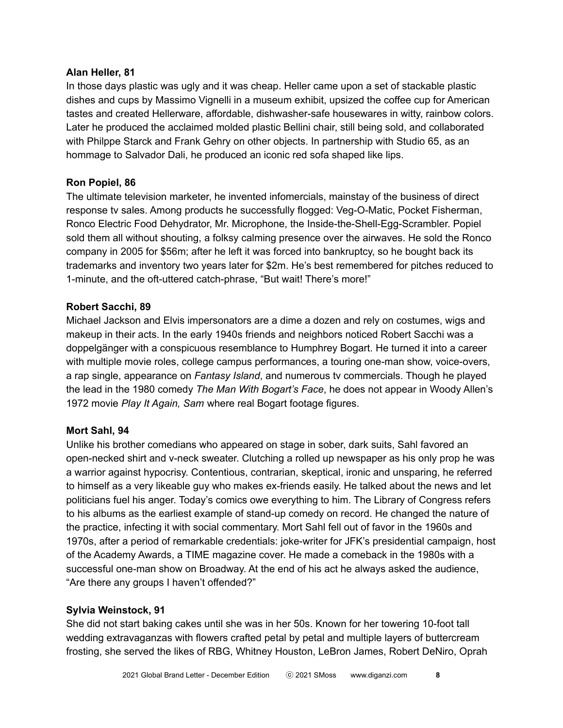#### **Alan Heller, 81**

In those days plastic was ugly and it was cheap. Heller came upon a set of stackable plastic dishes and cups by Massimo Vignelli in a museum exhibit, upsized the coffee cup for American tastes and created Hellerware, affordable, dishwasher-safe housewares in witty, rainbow colors. Later he produced the acclaimed molded plastic Bellini chair, still being sold, and collaborated with Philppe Starck and Frank Gehry on other objects. In partnership with Studio 65, as an hommage to Salvador Dali, he produced an iconic red sofa shaped like lips.

## **Ron Popiel, 86**

The ultimate television marketer, he invented infomercials, mainstay of the business of direct response tv sales. Among products he successfully flogged: Veg-O-Matic, Pocket Fisherman, Ronco Electric Food Dehydrator, Mr. Microphone, the Inside-the-Shell-Egg-Scrambler. Popiel sold them all without shouting, a folksy calming presence over the airwaves. He sold the Ronco company in 2005 for \$56m; after he left it was forced into bankruptcy, so he bought back its trademarks and inventory two years later for \$2m. He's best remembered for pitches reduced to 1-minute, and the oft-uttered catch-phrase, "But wait! There's more!"

## **Robert Sacchi, 89**

Michael Jackson and Elvis impersonators are a dime a dozen and rely on costumes, wigs and makeup in their acts. In the early 1940s friends and neighbors noticed Robert Sacchi was a doppelgänger with a conspicuous resemblance to Humphrey Bogart. He turned it into a career with multiple movie roles, college campus performances, a touring one-man show, voice-overs, a rap single, appearance on *Fantasy Island*, and numerous tv commercials. Though he played the lead in the 1980 comedy *The Man With Bogart's Face*, he does not appear in Woody Allen's 1972 movie *Play It Again, Sam* where real Bogart footage figures.

## **Mort Sahl, 94**

Unlike his brother comedians who appeared on stage in sober, dark suits, Sahl favored an open-necked shirt and v-neck sweater. Clutching a rolled up newspaper as his only prop he was a warrior against hypocrisy. Contentious, contrarian, skeptical, ironic and unsparing, he referred to himself as a very likeable guy who makes ex-friends easily. He talked about the news and let politicians fuel his anger. Today's comics owe everything to him. The Library of Congress refers to his albums as the earliest example of stand-up comedy on record. He changed the nature of the practice, infecting it with social commentary. Mort Sahl fell out of favor in the 1960s and 1970s, after a period of remarkable credentials: joke-writer for JFK's presidential campaign, host of the Academy Awards, a TIME magazine cover. He made a comeback in the 1980s with a successful one-man show on Broadway. At the end of his act he always asked the audience, "Are there any groups I haven't offended?"

## **Sylvia Weinstock, 91**

She did not start baking cakes until she was in her 50s. Known for her towering 10-foot tall wedding extravaganzas with flowers crafted petal by petal and multiple layers of buttercream frosting, she served the likes of RBG, Whitney Houston, LeBron James, Robert DeNiro, Oprah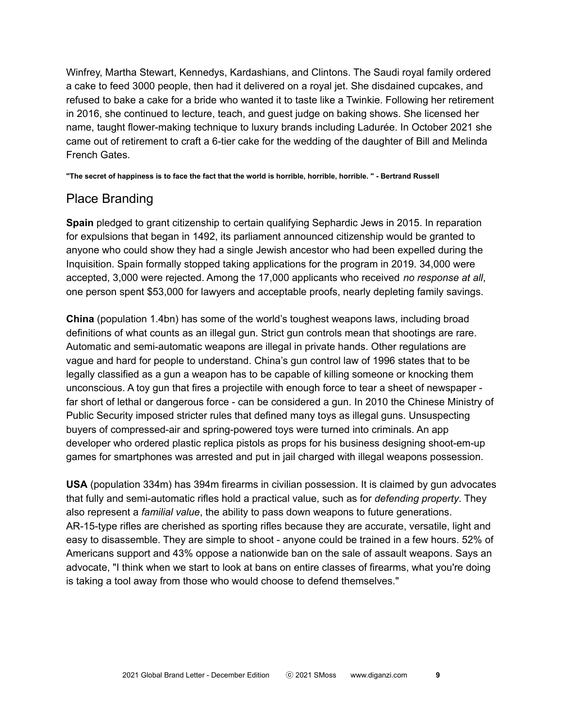Winfrey, Martha Stewart, Kennedys, Kardashians, and Clintons. The Saudi royal family ordered a cake to feed 3000 people, then had it delivered on a royal jet. She disdained cupcakes, and refused to bake a cake for a bride who wanted it to taste like a Twinkie. Following her retirement in 2016, she continued to lecture, teach, and guest judge on baking shows. She licensed her name, taught flower-making technique to luxury brands including Ladurée. In October 2021 she came out of retirement to craft a 6-tier cake for the wedding of the daughter of Bill and Melinda French Gates.

"The secret of happiness is to face the fact that the world is horrible, horrible, horrible." - Bertrand Russell

# Place Branding

**Spain** pledged to grant citizenship to certain qualifying Sephardic Jews in 2015. In reparation for expulsions that began in 1492, its parliament announced citizenship would be granted to anyone who could show they had a single Jewish ancestor who had been expelled during the Inquisition. Spain formally stopped taking applications for the program in 2019. 34,000 were accepted, 3,000 were rejected. Among the 17,000 applicants who received *no response at all*, one person spent \$53,000 for lawyers and acceptable proofs, nearly depleting family savings.

**China** (population 1.4bn) has some of the world's toughest weapons laws, including broad definitions of what counts as an illegal gun. Strict gun controls mean that shootings are rare. Automatic and semi-automatic weapons are illegal in private hands. Other regulations are vague and hard for people to understand. China's gun control law of 1996 states that to be legally classified as a gun a weapon has to be capable of killing someone or knocking them unconscious. A toy gun that fires a projectile with enough force to tear a sheet of newspaper far short of lethal or dangerous force - can be considered a gun. In 2010 the Chinese Ministry of Public Security imposed stricter rules that defined many toys as illegal guns. Unsuspecting buyers of compressed-air and spring-powered toys were turned into criminals. An app developer who ordered plastic replica pistols as props for his business designing shoot-em-up games for smartphones was arrested and put in jail charged with illegal weapons possession.

**USA** (population 334m) has 394m firearms in civilian possession. It is claimed by gun advocates that fully and semi-automatic rifles hold a practical value, such as for *defending property*. They also represent a *familial value*, the ability to pass down weapons to future generations. AR-15-type rifles are cherished as sporting rifles because they are accurate, versatile, light and easy to disassemble. They are simple to shoot - anyone could be trained in a few hours. 52% of Americans support and 43% oppose a nationwide ban on the sale of assault weapons. Says an advocate, "I think when we start to look at bans on entire classes of firearms, what you're doing is taking a tool away from those who would choose to defend themselves."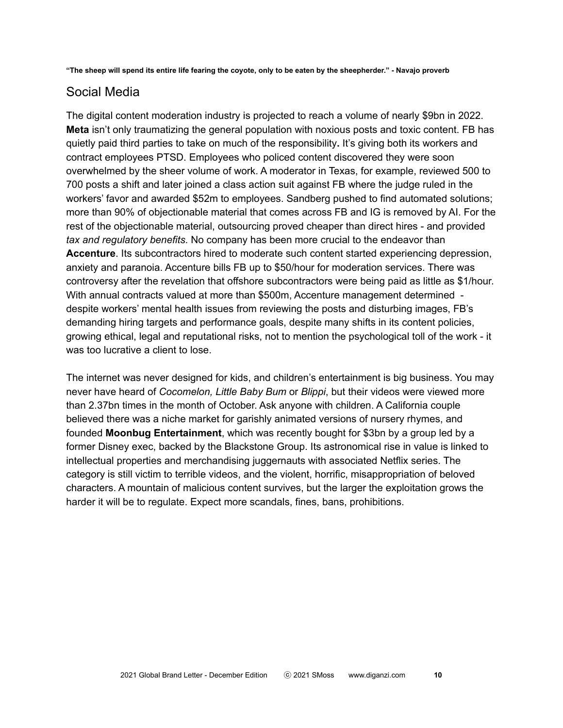"The sheep will spend its entire life fearing the coyote, only to be eaten by the sheepherder." - Navajo proverb

# Social Media

The digital content moderation industry is projected to reach a volume of nearly \$9bn in 2022. **Meta** isn't only traumatizing the general population with noxious posts and toxic content. FB has quietly paid third parties to take on much of the responsibility**.** It's giving both its workers and contract employees PTSD. Employees who policed content discovered they were soon overwhelmed by the sheer volume of work. A moderator in Texas, for example, reviewed 500 to 700 posts a shift and later joined a class action suit against FB where the judge ruled in the workers' favor and awarded \$52m to employees. Sandberg pushed to find automated solutions; more than 90% of objectionable material that comes across FB and IG is removed by AI. For the rest of the objectionable material, outsourcing proved cheaper than direct hires - and provided *tax and regulatory benefits*. No company has been more crucial to the endeavor than **Accenture**. Its subcontractors hired to moderate such content started experiencing depression, anxiety and paranoia. Accenture bills FB up to \$50/hour for moderation services. There was controversy after the revelation that offshore subcontractors were being paid as little as \$1/hour. With annual contracts valued at more than \$500m, Accenture management determined despite workers' mental health issues from reviewing the posts and disturbing images, FB's demanding hiring targets and performance goals, despite many shifts in its content policies, growing ethical, legal and reputational risks, not to mention the psychological toll of the work - it was too lucrative a client to lose.

The internet was never designed for kids, and children's entertainment is big business. You may never have heard of *Cocomelon, Little Baby Bum* or *Blippi*, but their videos were viewed more than 2.37bn times in the month of October. Ask anyone with children. A California couple believed there was a niche market for garishly animated versions of nursery rhymes, and founded **Moonbug Entertainment**, which was recently bought for \$3bn by a group led by a former Disney exec, backed by the Blackstone Group. Its astronomical rise in value is linked to intellectual properties and merchandising juggernauts with associated Netflix series. The category is still victim to terrible videos, and the violent, horrific, misappropriation of beloved characters. A mountain of malicious content survives, but the larger the exploitation grows the harder it will be to regulate. Expect more scandals, fines, bans, prohibitions.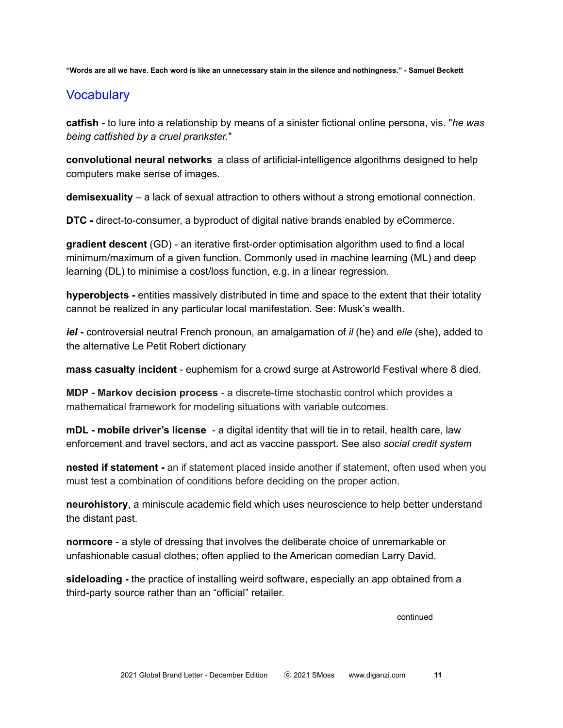"Words are all we have. Each word is like an unnecessary stain in the silence and nothingness." - Samuel Beckett

## **Vocabulary**

**catfish -** to lure into a relationship by means of a sinister fictional online persona, vis. "*he was being catfished by a cruel prankster.*"

**convolutional neural networks** a class of artificial-intelligence algorithms designed to help computers make sense of images.

**demisexuality** – a lack of sexual attraction to others without a strong emotional connection.

**DTC -** direct-to-consumer, a byproduct of digital native brands enabled by eCommerce.

**gradient descent** (GD) - an iterative first-order optimisation algorithm used to find a local minimum/maximum of a given function. Commonly used in machine learning (ML) and deep learning (DL) to minimise a cost/loss function, e.g. in a linear regression.

**hyperobjects -** entities massively distributed in time and space to the extent that their totality cannot be realized in any particular local manifestation. See: Musk's wealth.

*iel* **-** controversial neutral French pronoun, an amalgamation of *il* (he) and *elle* (she), added to the alternative Le Petit Robert dictionary

**mass casualty incident** - euphemism for a crowd surge at Astroworld Festival where 8 died.

**MDP - Markov decision process** - a discrete-time stochastic control which provides a mathematical framework for modeling situations with variable outcomes.

**mDL - mobile driver's license** - a digital identity that will tie in to retail, health care, law enforcement and travel sectors, and act as vaccine passport. See also *social credit system*

**nested if statement -** an if statement placed inside another if statement, often used when you must test a combination of conditions before deciding on the proper action.

**neurohistory**, a miniscule academic field which uses neuroscience to help better understand the distant past.

**normcore** - a style of dressing that involves the deliberate choice of unremarkable or unfashionable casual clothes; often applied to the American comedian Larry David.

**sideloading -** the practice of installing weird software, especially an app obtained from a third-party source rather than an "official" retailer.

continued